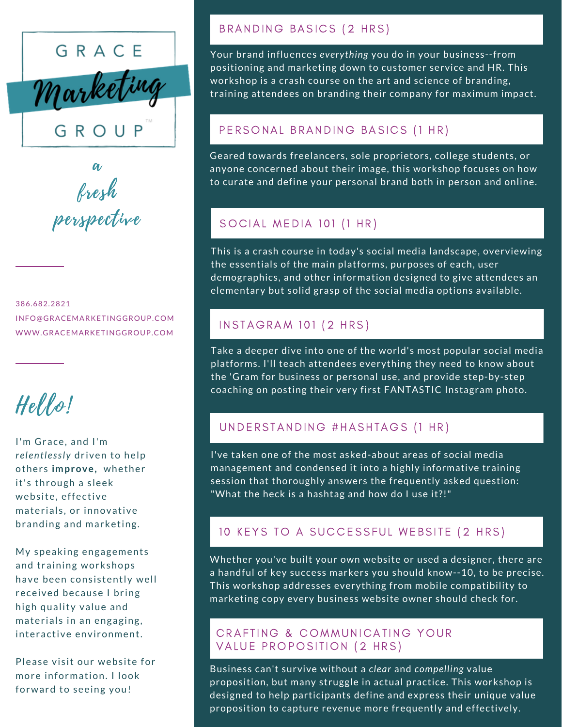

a fresh perspective

386.682.2821 INFO@GRACEMARKETINGGROUP.COM WWW.GRACEMARKETINGGROUP.COM

# Hello!

I'm Grace, and I'm *relentlessly* driven to help others *improve*, whether it's through a sleek website, effective materials, or innovative branding and marketing.

My speaking engagements and training workshops have been consistently well received because I bring high quality value and materials in an engaging, interactive environment.

Please visit our website for more information. I look forward to seeing you!

#### BRANDING BASICS (2 HRS)

Your brand influences *everything* you do in your business--from positioning and marketing down to customer service and HR. This workshop is a crash course on the art and science of branding, training attendees on branding their company for maximum impact.

## PERSONAL BRANDING BASICS (1 HR)

Geared towards freelancers, sole proprietors, college students, or anyone concerned about their image, this workshop focuses on how to curate and define your personal brand both in person and online.

## SOCIAL MEDIA 101 (1 HR)

This is a crash course in today's social media landscape, overviewing the essentials of the main platforms, purposes of each, user demographics, and other information designed to give attendees an elementary but solid grasp of the social media options available.

# **INSTAGRAM 101 (2 HRS)**

Take a deeper dive into one of the world's most popular social media platforms. I'll teach attendees everything they need to know about the 'Gram for business or personal use, and provide step-by-step coaching on posting their very first FANTASTIC Instagram photo.

# UNDERSTANDING #HASHTAGS (1 HR)

I've taken one of the most asked-about areas of social media management and condensed it into a highly informative training session that thoroughly answers the frequently asked question: "What the heck is a hashtag and how do I use it?!"

### 10 KEYS TO A SUCCESSFUL WEBSITE (2 HRS)

Whether you've built your own website or used a designer, there are a handful of key success markers you should know--10, to be precise. This workshop addresses everything from mobile compatibility to marketing copy every business website owner should check for.

#### CRAFTING & COMMUNICATING YOUR VALUE PROPOSITION (2 HRS)

Business can't survive without a *clear* and *compelling* value proposition, but many struggle in actual practice. This workshop is designed to help participants define and express their unique value proposition to capture revenue more frequently and effectively.